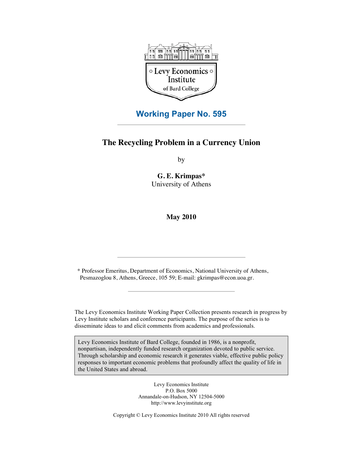

## **Working Paper No. 595**

### **The Recycling Problem in a Currency Union**

by

**G. E. Krimpas\*** University of Athens

**May 2010**

\* Professor Emeritus, Department of Economics, National University of Athens, Pesmazoglou 8, Athens, Greece, 105 59; E-mail: gkrimpas@econ.uoa.gr.

The Levy Economics Institute Working Paper Collection presents research in progress by Levy Institute scholars and conference participants. The purpose of the series is to disseminate ideas to and elicit comments from academics and professionals.

Levy Economics Institute of Bard College, founded in 1986, is a nonprofit, nonpartisan, independently funded research organization devoted to public service. Through scholarship and economic research it generates viable, effective public policy responses to important economic problems that profoundly affect the quality of life in the United States and abroad.

> Levy Economics Institute P.O. Box 5000 Annandale-on-Hudson, NY 12504-5000 http://www.levyinstitute.org

Copyright © Levy Economics Institute 2010 All rights reserved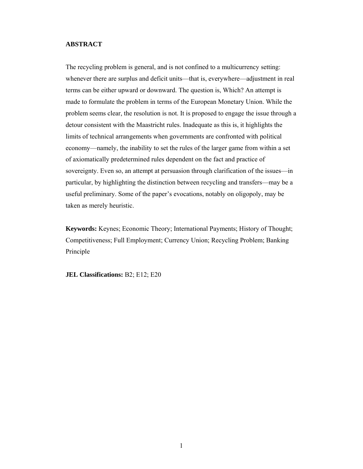#### **ABSTRACT**

The recycling problem is general, and is not confined to a multicurrency setting: whenever there are surplus and deficit units—that is, everywhere—adjustment in real terms can be either upward or downward. The question is, Which? An attempt is made to formulate the problem in terms of the European Monetary Union. While the problem seems clear, the resolution is not. It is proposed to engage the issue through a detour consistent with the Maastricht rules. Inadequate as this is, it highlights the limits of technical arrangements when governments are confronted with political economy—namely, the inability to set the rules of the larger game from within a set of axiomatically predetermined rules dependent on the fact and practice of sovereignty. Even so, an attempt at persuasion through clarification of the issues—in particular, by highlighting the distinction between recycling and transfers—may be a useful preliminary. Some of the paper's evocations, notably on oligopoly, may be taken as merely heuristic.

**Keywords:** Keynes; Economic Theory; International Payments; History of Thought; Competitiveness; Full Employment; Currency Union; Recycling Problem; Banking Principle

**JEL Classifications: B2; E12; E20**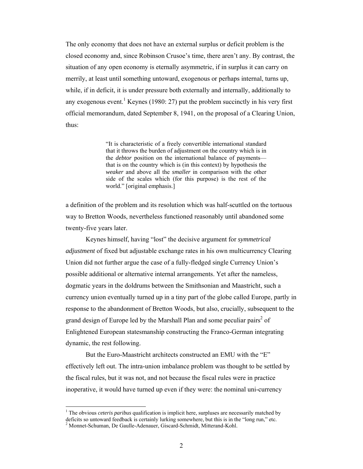The only economy that does not have an external surplus or deficit problem is the closed economy and, since Robinson Crusoe's time, there aren't any. By contrast, the situation of any open economy is eternally asymmetric, if in surplus it can carry on merrily, at least until something untoward, exogenous or perhaps internal, turns up, while, if in deficit, it is under pressure both externally and internally, additionally to any exogenous event.<sup>1</sup> Keynes (1980: 27) put the problem succinctly in his very first official memorandum, dated September 8, 1941, on the proposal of a Clearing Union, thus:

> "It is characteristic of a freely convertible international standard that it throws the burden of adjustment on the country which is in the *debtor* position on the international balance of payments that is on the country which is (in this context) by hypothesis the *weaker* and above all the *smaller* in comparison with the other side of the scales which (for this purpose) is the rest of the world." [original emphasis.]

a definition of the problem and its resolution which was half-scuttled on the tortuous way to Bretton Woods, nevertheless functioned reasonably until abandoned some twenty-five years later.

Keynes himself, having "lost" the decisive argument for *symmetrical adjustment* of fixed but adjustable exchange rates in his own multicurrency Clearing Union did not further argue the case of a fully-fledged single Currency Union's possible additional or alternative internal arrangements. Yet after the nameless, dogmatic years in the doldrums between the Smithsonian and Maastricht, such a currency union eventually turned up in a tiny part of the globe called Europe, partly in response to the abandonment of Bretton Woods, but also, crucially, subsequent to the grand design of Europe led by the Marshall Plan and some peculiar pairs<sup>2</sup> of Enlightened European statesmanship constructing the Franco-German integrating dynamic, the rest following.

But the Euro-Maastricht architects constructed an EMU with the "E" effectively left out. The intra-union imbalance problem was thought to be settled by the fiscal rules, but it was not, and not because the fiscal rules were in practice inoperative, it would have turned up even if they were: the nominal uni-currency

<sup>1</sup> The obvious *ceteris paribus* qualification is implicit here, surpluses are necessarily matched by deficits so untoward feedback is certainly lurking somewhere, but this is in the "long run," etc. 2 Monnet-Schuman, De Gaulle-Adenauer, Giscard-Schmidt, Mitterand-Kohl.

 $\overline{a}$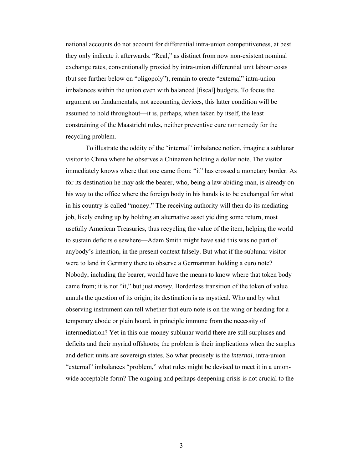national accounts do not account for differential intra-union competitiveness, at best they only indicate it afterwards. "Real," as distinct from now non-existent nominal exchange rates, conventionally proxied by intra-union differential unit labour costs (but see further below on "oligopoly"), remain to create "external" intra-union imbalances within the union even with balanced [fiscal] budgets. To focus the argument on fundamentals, not accounting devices, this latter condition will be assumed to hold throughout—it is, perhaps, when taken by itself, the least constraining of the Maastricht rules, neither preventive cure nor remedy for the recycling problem.

To illustrate the oddity of the "internal" imbalance notion, imagine a sublunar visitor to China where he observes a Chinaman holding a dollar note. The visitor immediately knows where that one came from: "it" has crossed a monetary border. As for its destination he may ask the bearer, who, being a law abiding man, is already on his way to the office where the foreign body in his hands is to be exchanged for what in his country is called "money." The receiving authority will then do its mediating job, likely ending up by holding an alternative asset yielding some return, most usefully American Treasuries, thus recycling the value of the item, helping the world to sustain deficits elsewhere—Adam Smith might have said this was no part of anybody's intention, in the present context falsely. But what if the sublunar visitor were to land in Germany there to observe a Germanman holding a euro note? Nobody, including the bearer, would have the means to know where that token body came from; it is not "it," but just *money*. Borderless transition of the token of value annuls the question of its origin; its destination is as mystical. Who and by what observing instrument can tell whether that euro note is on the wing or heading for a temporary abode or plain hoard, in principle immune from the necessity of intermediation? Yet in this one-money sublunar world there are still surpluses and deficits and their myriad offshoots; the problem is their implications when the surplus and deficit units are sovereign states. So what precisely is the *internal*, intra-union "external" imbalances "problem," what rules might be devised to meet it in a unionwide acceptable form? The ongoing and perhaps deepening crisis is not crucial to the

3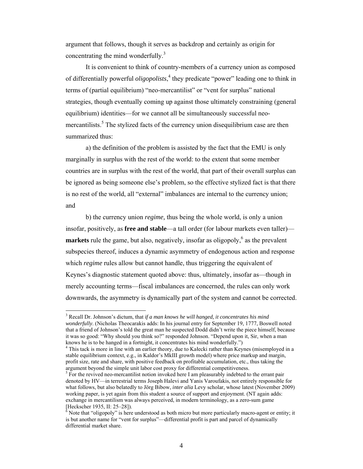argument that follows, though it serves as backdrop and certainly as origin for concentrating the mind wonderfully.<sup>3</sup>

It is convenient to think of country-members of a currency union as composed of differentially powerful *oligopolists*, 4 they predicate "power" leading one to think in terms of (partial equilibrium) "neo-mercantilist" or "vent for surplus" national strategies, though eventually coming up against those ultimately constraining (general equilibrium) identities—for we cannot all be simultaneously successful neomercantilists.<sup>5</sup> The stylized facts of the currency union disequilibrium case are then summarized thus:

a) the definition of the problem is assisted by the fact that the EMU is only marginally in surplus with the rest of the world: to the extent that some member countries are in surplus with the rest of the world, that part of their overall surplus can be ignored as being someone else's problem, so the effective stylized fact is that there is no rest of the world, all "external" imbalances are internal to the currency union; and

b) the currency union *regime,* thus being the whole world, is only a union insofar, positively, as **free and stable**—a tall order (for labour markets even taller) **markets** rule the game, but also, negatively, insofar as oligopoly,<sup>6</sup> as the prevalent subspecies thereof, induces a dynamic asymmetry of endogenous action and response which *regime* rules allow but cannot handle, thus triggering the equivalent of Keynes's diagnostic statement quoted above: thus, ultimately, insofar as—though in merely accounting terms—fiscal imbalances are concerned, the rules can only work downwards, the asymmetry is dynamically part of the system and cannot be corrected.

 3 Recall Dr. Johnson's dictum, that *if a man knows he will hanged, it concentrates his mind wonderfully*. (Nicholas Theocarakis adds: In his journal entry for September 19, 1777, Boswell noted that a friend of Johnson's told the great man he suspected Dodd didn't write the piece himself, because it was so good: "Why should you think so?" responded Johnson. "Depend upon it, Sir, when a man knows he is to be hanged in a fortnight, it concentrates his mind wonderfully.")

<sup>&</sup>lt;sup>4</sup> This tack is more in line with an earlier theory, due to Kałecki rather than Keynes (misemployed in a stable equilibrium context, e.g., in Kaldor's MkIII growth model) where price markup and margin, profit size, rate and share, with positive feedback on profitable accumulation, etc., thus taking the argument beyond the simple unit labor cost proxy for differential competitiveness.

 $5$  For the revived neo-mercantilist notion invoked here I am pleasurably indebted to the errant pair denoted by HV—in terrestrial terms Joseph Halevi and Yanis Varoufakis, not entirely responsible for what follows, but also belatedly to Jörg Bibow, *inter alia* Levy scholar, whose latest (November 2009) working paper, is yet again from this student a source of support and enjoyment. (NT again adds: exchange in mercantilism was always perceived, in modern terminology, as a zero-sum game [Heckscher 1935, II: 25–28]).

Note that "oligopoly" is here understood as both micro but more particularly macro-agent or entity; it is but another name for "vent for surplus"—differential profit is part and parcel of dynamically differential market share.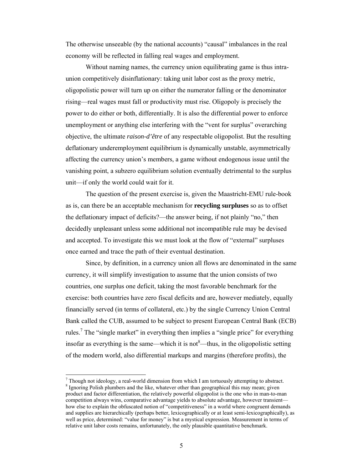The otherwise unseeable (by the national accounts) "causal" imbalances in the real economy will be reflected in falling real wages and employment.

Without naming names, the currency union equilibrating game is thus intraunion competitively disinflationary: taking unit labor cost as the proxy metric, oligopolistic power will turn up on either the numerator falling or the denominator rising—real wages must fall or productivity must rise. Oligopoly is precisely the power to do either or both, differentially. It is also the differential power to enforce unemployment or anything else interfering with the "vent for surplus" overarching objective, the ultimate *raison-d'être* of any respectable oligopolist. But the resulting deflationary underemployment equilibrium is dynamically unstable, asymmetrically affecting the currency union's members, a game without endogenous issue until the vanishing point, a subzero equilibrium solution eventually detrimental to the surplus unit—if only the world could wait for it.

The question of the present exercise is, given the Maastricht-EMU rule-book as is, can there be an acceptable mechanism for **recycling surpluses** so as to offset the deflationary impact of deficits?—the answer being, if not plainly "no," then decidedly unpleasant unless some additional not incompatible rule may be devised and accepted. To investigate this we must look at the flow of "external" surpluses once earned and trace the path of their eventual destination.

Since, by definition, in a currency union all flows are denominated in the same currency, it will simplify investigation to assume that the union consists of two countries, one surplus one deficit, taking the most favorable benchmark for the exercise: both countries have zero fiscal deficits and are, however mediately, equally financially served (in terms of collateral, etc.) by the single Currency Union Central Bank called the CUB, assumed to be subject to present European Central Bank (ECB) rules.<sup>7</sup> The "single market" in everything then implies a "single price" for everything insofar as everything is the same—which it is not  $\delta$ —thus, in the oligopolistic setting of the modern world, also differential markups and margins (therefore profits), the

 $\overline{a}$ 

 $<sup>7</sup>$  Though not ideology, a real-world dimension from which I am tortuously attempting to abstract.</sup> <sup>8</sup> Ignoring Polish plumbers and the like, whatever other than geographical this may mean; given product and factor differentiation, the relatively powerful oligopolist is the one who in man-to-man competition always wins, comparative advantage yields to absolute advantage, however transient how else to explain the obfuscated notion of "competitiveness" in a world where congruent demands and supplies are hierarchically (perhaps better, lexicographically or at least semi-lexicographically), as well as price, determined: "value for money" is but a mystical expression. Measurement in terms of relative unit labor costs remains, unfortunately, the only plausible quantitative benchmark.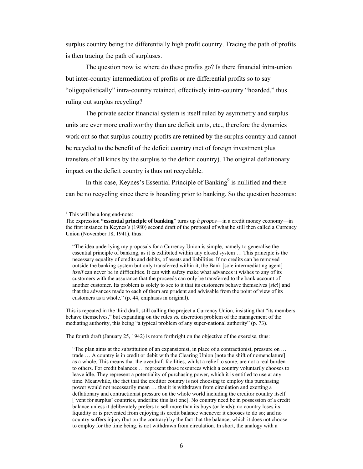surplus country being the differentially high profit country. Tracing the path of profits is then tracing the path of surpluses.

The question now is: where do these profits go? Is there financial intra-union but inter-country intermediation of profits or are differential profits so to say "oligopolistically" intra-country retained, effectively intra-country "hoarded," thus ruling out surplus recycling?

The private sector financial system is itself ruled by asymmetry and surplus units are ever more creditworthy than are deficit units, etc., therefore the dynamics work out so that surplus country profits are retained by the surplus country and cannot be recycled to the benefit of the deficit country (net of foreign investment plus transfers of all kinds by the surplus to the deficit country). The original deflationary impact on the deficit country is thus not recyclable.

In this case, Keynes's Essential Principle of Banking<sup>9</sup> is nullified and there can be no recycling since there is hoarding prior to banking. So the question becomes:

This is repeated in the third draft, still calling the project a Currency Union, insisting that "its members behave themselves," but expanding on the rules *vs.* discretion problem of the management of the mediating authority, this being "a typical problem of any super-national authority" (p. 73).

The fourth draft (January 25, 1942) is more forthright on the objective of the exercise, thus:

<sup>&</sup>lt;sup>9</sup> This will be a long end-note:

The expression **"essential principle of banking**" turns up *à propos*—in a credit money economy—in the first instance in Keynes's (1980) second draft of the proposal of what he still then called a Currency Union (November 18, 1941), thus:

<sup>&</sup>quot;The idea underlying my proposals for a Currency Union is simple, namely to generalise the essential principle of banking, as it is exhibited within any closed system … This principle is the necessary equality of credits and debits, of assets and liabilities. If no credits can be removed outside the banking system but only transferred within it, the Bank [sole intermediating agent] *itself* can never be in difficulties. It can with safety make what advances it wishes to any of its customers with the assurance that the proceeds can only be transferred to the bank account of another customer. Its problem is solely to see to it that its customers behave themselves [*sic*!] and that the advances made to each of them are prudent and advisable from the point of view of its customers as a whole." (p. 44, emphasis in original).

<sup>&</sup>quot;The plan aims at the substitution of an expansionist, in place of a contractionist, pressure on … trade … A country is in credit or debit with the Clearing Union [note the shift of nomenclature] as a whole. This means that the overdraft facilities, whilst a relief to some, are not a real burden to others. For credit balances … represent those resources which a country voluntarily chooses to leave idle. They represent a potentiality of purchasing power, which it is entitled to use at any time. Meanwhile, the fact that the creditor country is not choosing to employ this purchasing power would not necessarily mean … that it is withdrawn from circulation and exerting a deflationary and contractionist pressure on the whole world including the creditor country itself ['vent for surplus' countries, underline this last one]. No country need be in possession of a credit balance unless it deliberately prefers to sell more than its buys (or lends); no country loses its liquidity or is prevented from enjoying its credit balance whenever it chooses to do so; and no country suffers injury (but on the contrary) by the fact that the balance, which it does not choose to employ for the time being, is not withdrawn from circulation. In short, the analogy with a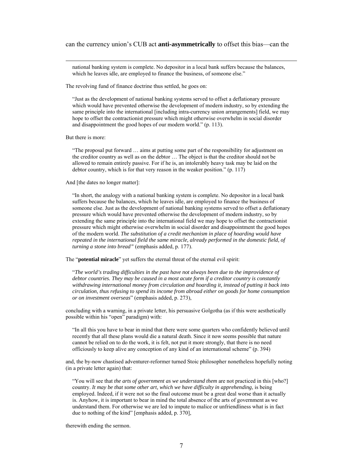national banking system is complete. No depositor in a local bank suffers because the balances, which he leaves idle, are employed to finance the business, of someone else."

The revolving fund of finance doctrine thus settled, he goes on:

"Just as the development of national banking systems served to offset a deflationary pressure which would have prevented otherwise the development of modern industry, so by extending the same principle into the international [including intra-currency union arrangements] field, we may hope to offset the contractionist pressure which might otherwise overwhelm in social disorder and disappointment the good hopes of our modern world." (p. 113).

But there is more:

"The proposal put forward … aims at putting some part of the responsibility for adjustment on the creditor country as well as on the debtor … The object is that the creditor should not be allowed to remain entirely passive. For if he is, an intolerably heavy task may be laid on the debtor country, which is for that very reason in the weaker position." (p. 117)

And [the dates no longer matter]:

"In short, the analogy with a national banking system is complete. No depositor in a local bank suffers because the balances, which he leaves idle, are employed to finance the business of someone else. Just as the development of national banking systems served to offset a deflationary pressure which would have prevented otherwise the development of modern industry, so by extending the same principle into the international field we may hope to offset the contractionist pressure which might otherwise overwhelm in social disorder and disappointment the good hopes of the modern world. *The substitution of a credit mechanism in place of hoarding would have repeated in the international field the same miracle, already performed in the domestic field, of turning a stone into bread"* (emphasis added, p. 177).

The "**potential miracle**" yet suffers the eternal threat of the eternal evil spirit:

"*The world's trading difficulties in the past have not always been due to the improvidence of debtor countries. They may be caused in a most acute form if a creditor country is constantly withdrawing international money from circulation and hoarding it, instead of putting it back into circulation, thus refusing to spend its income from abroad either on goods for home consumption or on investment overseas*" (emphasis added, p. 273),

concluding with a warning, in a private letter, his persuasive Golgotha (as if this were aesthetically possible within his "open" paradigm) with:

"In all this you have to bear in mind that there were some quarters who confidently believed until recently that all these plans would die a natural death. Since it now seems possible that nature cannot be relied on to do the work, it is felt, not put it more strongly, that there is no need officiously to keep alive any conception of any kind of an international scheme" (p. 394)

and, the by-now chastised adventurer-reformer turned Stoic philosopher nonetheless hopefully noting (in a private letter again) that:

"You will see that *the arts of government as we understand them* are not practiced in this [who?] country. *It may be that some other art, which we have difficulty in apprehending*, is being employed. Indeed, if it were not so the final outcome must be a great deal worse than it actually is. Anyhow, it is important to bear in mind the total absence of the arts of government as we understand them. For otherwise we are led to impute to malice or unfriendliness what is in fact due to nothing of the kind" [emphasis added, p. 370],

therewith ending the sermon.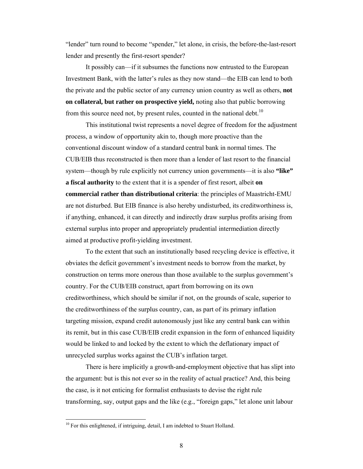"lender" turn round to become "spender," let alone, in crisis, the before-the-last-resort lender and presently the first-resort spender?

It possibly can—if it subsumes the functions now entrusted to the European Investment Bank, with the latter's rules as they now stand—the EIB can lend to both the private and the public sector of any currency union country as well as others, **not on collateral, but rather on prospective yield,** noting also that public borrowing from this source need not, by present rules, counted in the national debt.<sup>10</sup>

This institutional twist represents a novel degree of freedom for the adjustment process, a window of opportunity akin to, though more proactive than the conventional discount window of a standard central bank in normal times. The CUB/EIB thus reconstructed is then more than a lender of last resort to the financial system—though by rule explicitly not currency union governments—it is also **"like" a fiscal authority** to the extent that it is a spender of first resort, albeit **on commercial rather than distributional criteria**: the principles of Maastricht-EMU are not disturbed. But EIB finance is also hereby undisturbed, its creditworthiness is, if anything, enhanced, it can directly and indirectly draw surplus profits arising from external surplus into proper and appropriately prudential intermediation directly aimed at productive profit-yielding investment.

To the extent that such an institutionally based recycling device is effective, it obviates the deficit government's investment needs to borrow from the market, by construction on terms more onerous than those available to the surplus government's country. For the CUB/EIB construct, apart from borrowing on its own creditworthiness, which should be similar if not, on the grounds of scale, superior to the creditworthiness of the surplus country, can, as part of its primary inflation targeting mission, expand credit autonomously just like any central bank can within its remit, but in this case CUB/EIB credit expansion in the form of enhanced liquidity would be linked to and locked by the extent to which the deflationary impact of unrecycled surplus works against the CUB's inflation target.

There is here implicitly a growth-and-employment objective that has slipt into the argument: but is this not ever so in the reality of actual practice? And, this being the case, is it not enticing for formalist enthusiasts to devise the right rule transforming, say, output gaps and the like (e.g., "foreign gaps," let alone unit labour

 $\overline{a}$ 

<sup>&</sup>lt;sup>10</sup> For this enlightened, if intriguing, detail, I am indebted to Stuart Holland.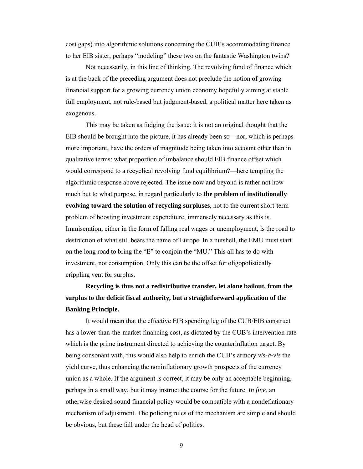cost gaps) into algorithmic solutions concerning the CUB's accommodating finance to her EIB sister, perhaps "modeling" these two on the fantastic Washington twins?

Not necessarily, in this line of thinking. The revolving fund of finance which is at the back of the preceding argument does not preclude the notion of growing financial support for a growing currency union economy hopefully aiming at stable full employment, not rule-based but judgment-based, a political matter here taken as exogenous.

This may be taken as fudging the issue: it is not an original thought that the EIB should be brought into the picture, it has already been so—nor, which is perhaps more important, have the orders of magnitude being taken into account other than in qualitative terms: what proportion of imbalance should EIB finance offset which would correspond to a recyclical revolving fund equilibrium?—here tempting the algorithmic response above rejected. The issue now and beyond is rather not how much but to what purpose, in regard particularly to **the problem of institutionally evolving toward the solution of recycling surpluses**, not to the current short-term problem of boosting investment expenditure, immensely necessary as this is. Immiseration, either in the form of falling real wages or unemployment, is the road to destruction of what still bears the name of Europe. In a nutshell, the EMU must start on the long road to bring the "E" to conjoin the "MU." This all has to do with investment, not consumption. Only this can be the offset for oligopolistically crippling vent for surplus.

# **Recycling is thus not a redistributive transfer, let alone bailout, from the surplus to the deficit fiscal authority, but a straightforward application of the Banking Principle.**

It would mean that the effective EIB spending leg of the CUB/EIB construct has a lower-than-the-market financing cost, as dictated by the CUB's intervention rate which is the prime instrument directed to achieving the counterinflation target. By being consonant with, this would also help to enrich the CUB's armory *vis-à-vis* the yield curve, thus enhancing the noninflationary growth prospects of the currency union as a whole. If the argument is correct, it may be only an acceptable beginning, perhaps in a small way, but it may instruct the course for the future. *In fine*, an otherwise desired sound financial policy would be compatible with a nondeflationary mechanism of adjustment. The policing rules of the mechanism are simple and should be obvious, but these fall under the head of politics.

9